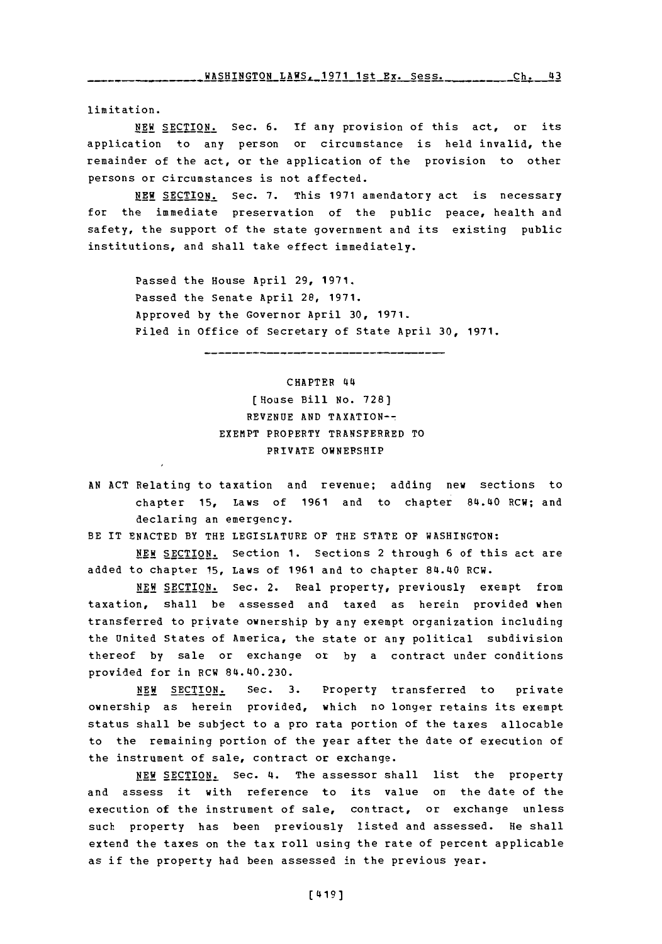limitation.

**NEW** SECTION. Sec. **6. If** any provision of this act, or its application to any person or circumstance is held invalid, the remainder of the act, or the application of the provision to other persons or circumstances is not affected.

**NEW SECTION.** Sec. **7.** This **1971** amendatory act is necessary for the immediate preservation of the public peace, health and safety, the support of the state government and its existing public institutions, and shall take effect immediately.

> Passed the House April **29, 1971.** Passed the Senate April 28, **1971.** Approved **by** the Governor April **30, 1971.** Filed in Office of secretary of State April **30, 1971.**

## CHAPTER 44~

-------------------------

## [House Bill **No. 728) REVENUE AND** TAXATION-- EXEMPT PROPERTY TRANSFERRED TO PRIVATE **OWNERSHIP**

**AN ACT** Relating to taxation and revenue; adding new sections to chapter **15, Laws of 1961 and to chapter 84.40 RCW; and** declaring an emergency.

BE IT **ENACTED** BY THE LEGISLATURE OF THE **STATE** OF WASHINGTON:

**NEW SECTION.** Section **1.** Sections 2 through **6** of this act are added to chapter **15,** Laws of **1961** and to chapter 84.40 RCW.

**NEW SECTION.** Sec. 2. Real property, previously exempt from taxation, shall be assessed and taxed as herein provided when transferred to private ownership **by** any exempt organization including the United States of America, the state or any political subdivision thereof **by** sale or exchange or **by** a contract under conditions provided for in RCW 84.40.230.

**NEW SECTION.** Sec. **3.** Property transferred to private ownership as herein provided, which no longer retains its exempt status shall be subject to a pro rata portion of the taxes allocable to the remaining portion of the year after the date of execution of the instrument of sale, contract or exchange.

**NEW SECTION.** Sec. 4. The assessor shall list the property and assess it with reference to its value on the date of the execution of the instrument of sale, contract, or exchange unless such property has been previously listed and assessed. He shall extend the taxes on the tax roll using the rate of percent applicable as if the property had been assessed in the previous year.